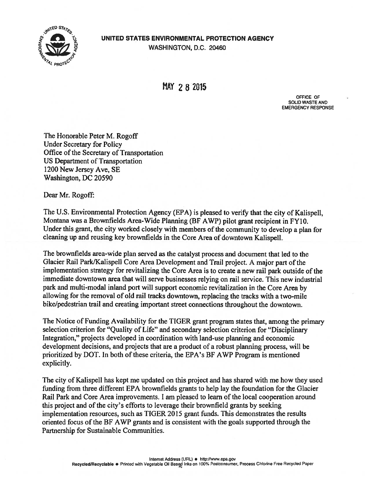UNITED STATES ENVIRONMENTAL PROTECTION AGENCY WASHINGTON, D.C. 20460

AL PROTEC

UNITED STATES

MAY 2 8 2015

OFF1CE OF SOLID WASTE AND EMERGENCY RESPONSE

The Honorable Peter M. Rogoff Under Secretary for Policy Office of the Secretary of Transportation US Department of Transportation 1200 New Jersey Aye, SE Washington, DC 20590

Dear Mr. Rogoff:

The U.S. Environmental Protection Agency (EPA) is pleased to verify that the city of Kalispell, Montana was a Brownfields Area-Wide Planning (BF AWP) pilot grant recipient in FY10. Under this grant, the city worked closely with members of the community to develop a plan for cleaning up and reusing key brownfields in the Core Area of downtown Kalispell.

The brownfields area-wide plan served as the catalyst process and document that led to the Glacier Rail ParklKalispell Core Area Development and Trail project. A major part of the implementation strategy for revitalizing the Core Area is to create a new rail park outside of the immediate downtown area that will serve businesses relying on rail service. This new industrial park and multi-modal inland port will support economic revitalization in the Core Area by allowing for the removal of old rail tracks downtown, replacing the tracks with a two-mile bike/pedestrian trail and creating important street connections throughout the downtown.

The Notice of Funding Availability for the TIGER grant program states that, among the primary selection criterion for "Quality of Life" and secondary selection criterion for "Disciplinary Integration," projects developed in coordination with land-use planning and economic development decisions, and projects that are a product of a robust planning process, will be prioritized by DOT. In both of these criteria, the EPA's BF AWP Program is mentioned explicitly.

The city of Kalispell has kept me updated on this project and has shared with me how they used funding from three different EPA brownfields grants to help lay the foundation for the Glacier Rail Park and Core Area improvements. <sup>I</sup> am pleased to learn of the local cooperation around this project and of the city's efforts to leverage their brownfield grants by seeking implementation resources, such as TIGER 2015 grant funds. This demonstrates the results oriented focus of the BF AWP grants and is consistent with the goals supported through the Partnership for Sustainable Communities.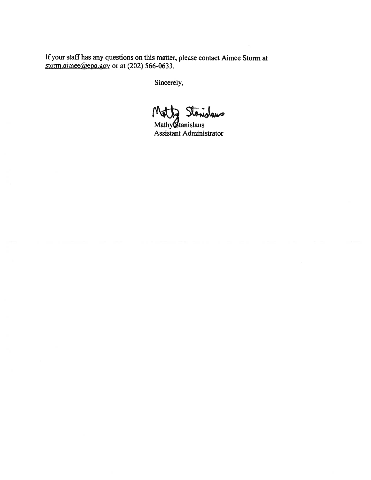If your staff has any questions on this matter, <sup>p</sup>lease contact Aimee Storm at storm.aimee@epa.gov or at  $(202)$  566-0633.

Motty Stanislaws

Mathy Stanislaus Assistant Administrator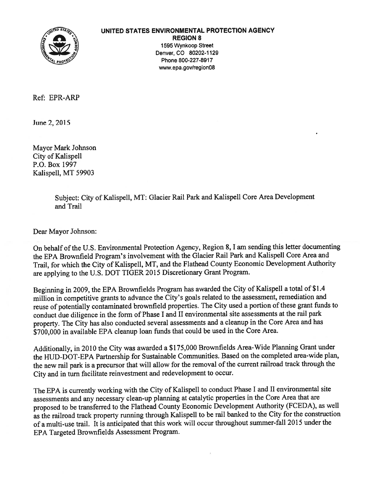

#### UNITED STATES ENVIRONMENTAL PROTECTION AGENCY

REGION 8 1595 Wynkoop Street Denver, CO 80202-1129 Phone 800-227-8917 www.epa.gov/region08

Ref: EPR-ARP

June 2,2015

Mayor Mark Johnson City of Kalispell P.O. Box 1997 Kalispell, MT 59903

> Subject: City of Kalispell, MT: Glacier Rail Park and Kalispell Core Area Development and Trail

Dear Mayor Johnson:

On behalf of the U.S. Environmental Protection Agency, Region 8, I am sending this letter documenting the EPA Brownfield Program's involvement with the Glacier Rail Park and Kalispell Core Area and Trail, for which the City of Kalispell, MT, and the Flathead County Economic Development Authority are applying to the U.S. DOT TIGER <sup>2015</sup> Discretionary Grant Program.

Beginning in 2009, the EPA Brownfields Program has awarded the City of Kalispell <sup>a</sup> total of \$1.4 million in competitive grants to advance the City's goals related to the assessment, remediation and reuse of potentially contaminated brownfield properties. The City used <sup>a</sup> portion of these gran<sup>t</sup> funds to conduct due diligence in the form of Phase <sup>I</sup> and II environmental site assessments at the rail park property. The City has also conducted several assessments and <sup>a</sup> cleanup in the Core Area and has \$700,000 in available EPA cleanup loan funds that could be used in the Core Area.

Additionally, in <sup>2010</sup> the City was awarded <sup>a</sup> \$175,000 Brownfields Area-Wide Planning Grant under the HUD-DOT-EPA Partnership for Sustainable Communities. Based on the completed area-wide <sup>p</sup>lan, the new rail park is <sup>a</sup> precursor that will allow for the removal of the current railroad track through the City and in turn facilitate reinvestment and redevelopment to occur.

The EPA is currently working with the City of Kalispell to conduct Phase <sup>I</sup> and II environmental site assessments and any necessary clean-up <sup>p</sup>lanning at catalytic properties in the Core Area that are propose<sup>d</sup> to be transferred to the Flathead County Economic Development Authority (FCEDA), as well as the railroad track property running through Kalispell to be rail banked to the City for the construction of <sup>a</sup> multi-use trail. It is anticipated that this work will occur throughout summer-fall <sup>2015</sup> under the EPA Targeted Brownfields Assessment Program.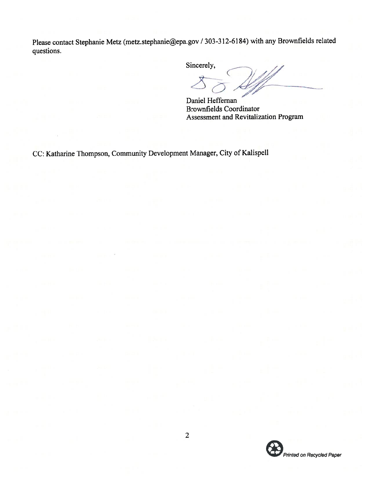Please contact Stephanie Metz (metz.stephanie@epa.gov / 303-312-6184) with any Brownfields related questions.

Sincerely,

 $\left( \begin{array}{c} \rule{0pt}{2.1ex} \rule{0pt}{2.1ex} \rule{0pt}{2.1ex} \rule{0pt}{2.1ex} \rule{0pt}{2.1ex} \rule{0pt}{2.1ex} \rule{0pt}{2.1ex} \rule{0pt}{2.1ex} \rule{0pt}{2.1ex} \rule{0pt}{2.1ex} \rule{0pt}{2.1ex} \rule{0pt}{2.1ex} \rule{0pt}{2.1ex} \rule{0pt}{2.1ex} \rule{0pt}{2.1ex} \rule{0pt}{2.1ex} \rule{0pt}{2.1ex} \rule{0pt}{2.1ex} \rule{0pt}{2.1ex} \$ 

Daniel Heffernan Brownfields Coordinator Assessment and Revitalization Program

CC: Katharine Thompson, Community Development Manager, City of Kalispell

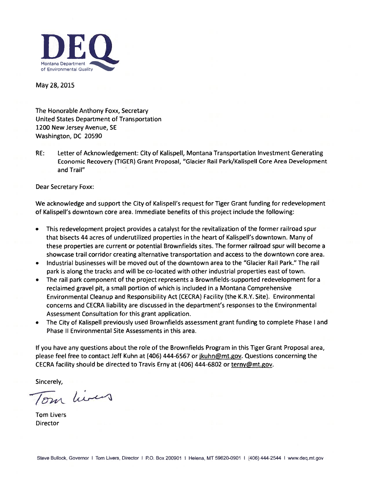

May 28, 2015

The Honorable Anthony Foxx, Secretary United States Department of Transportation 1200 New Jersey Avenue, SE Washington, DC 20590

RE: Letter of Acknowledgement: City of Kalispell, Montana Transportation Investment Generating Economic Recovery (TIGER) Grant Proposal, "Glacier Rail Park/Kalispell Core Area Development and Trail"

Dear Secretary Foxx:

We acknowledge and support the City of Kalispell's request for Tiger Grant funding for redevelopment of Kalispell's downtown core area. Immediate benefits of this project include the following:

- This redevelopment project provides a catalyst for the revitalization of the former railroad spur that bisects 44 acres of underutilized properties in the heart of Kalispell's downtown. Many of these properties are current or potential Brownfields sites. The former railroad spur will become a showcase trail corridor creating alternative transportation and access to the downtown core area.
- Industrial businesses will be moved out of the downtown area to the "Glacier Rail Park." The rail park is along the tracks and will be co-located with other industrial properties east of town.
- The rail park component of the project represents a Brownfields-supported redevelopment for a reclaimed gravel pit, a small portion of which is included in a Montana Comprehensive Environmental Cleanup and Responsibility Act (CECRA) Facility (the K.R.Y. Site). Environmental concerns and CECRA liability are discussed in the department's responses to the Environmental Assessment Consultation for this grant application.
- The City of Kalispell previously used Brownfields assessment grant funding to complete Phase <sup>I</sup> and Phase II Environmental Site Assessments in this area.

If you have any questions about the role of the Brownfields Program in this Tiger Grant Proposal area, please feel free to contact Jeff Kuhn at (406) 444-6567 or jkuhn@mt.gov. Questions concerning the CECRA facility should be directed to Travis Erny at (406) 444-6802 or terny@mt.gov.

1'  $\sqrt{2}m$ 

Tom Livers Director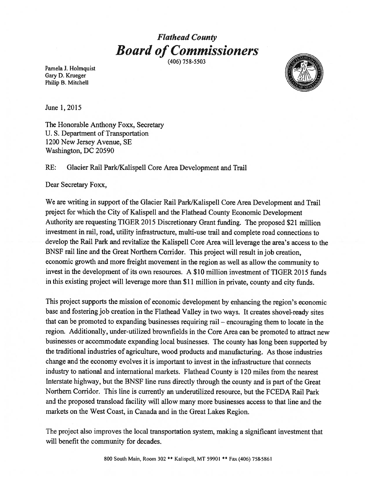### Flathead County **Board of Commissioners**

(406) 758-5503

Pamela J. Holmquist Gary D. Krueger Philip B. Mitchell



June 1,2015

The Honorable Anthony Foxx, Secretary U. S. Department of Transportation 1200 New Jersey Avenue, SE Washington, DC 20590

### RE: Glacier Rail Park/Kalispell Core Area Development and Trail

Dear Secretary Foxx,

We are writing in support of the Glacier Rail Park/Kalispell Core Area Development and Trail project for which the City of Kalispell and the Flathead County Economic Development Authority are requesting TIGER 2015 Discretionary Grant funding. The proposed \$21 million investment in rail, road, utility infrastructure, multi-use trail and complete road connections to develop the Rail Park and revitalize the Kalispell Core Area will leverage the area's access to the BNSF rail line and the Great Northern Corridor. This project will result in job creation, economic growth and more freight movement in the region as well as allow the community to invest in the development of its own resources. A \$10 million investment of TIGER 2015 funds in this existing project will leverage more than \$11 million in private, county and city funds.

This project supports the mission of economic development by enhancing the region's economic base and fostering job creation in the Flathead Valley in two ways. It creates shovel-ready sites that can be promoted to expanding businesses requiring rail — encouraging them to locate in the region. Additionally, under-utilized brownfields in the Core Area can be promoted to attract new businesses or accommodate expanding local businesses. The county has long been supported by the traditional industries of agriculture, wood products and manufacturing. As those industries change and the economy evolves it is important to invest in the infrastructure that connects industry to national and international markets. Flathead County is 120 miles from the nearest Interstate highway, but the BNSF line runs directly through the county and is part of the Great Northern Corridor. This line is currently an underutilized resource, but the FCEDA Rail Park and the proposed transload facility will allow many more businesses access to that line and the markets on the West Coast, in Canada and in the Great Lakes Region.

The project also improves the local transportation system, making a significant investment that will benefit the community for decades.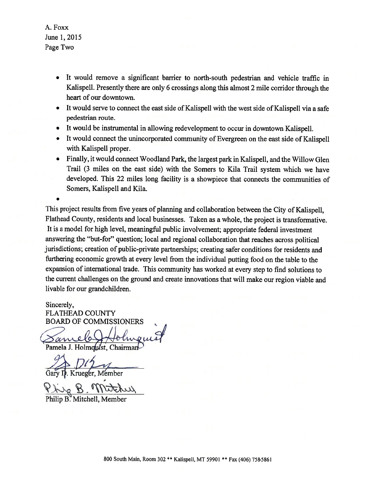A. Foxx June 1,2015 Page Two

.

- It would remove a significant barrier to north-south pedestrian and vehicle traffic in Kalispell. Presently there are only 6 crossings along this almost 2 mile corridor through the heart of our downtown.
- It would serve to connect the east side of Kalispell with the west side of Kalispell via a safe pedestrian route.
- It would be instrumental in allowing redevelopment to occur in downtown Kalispell.
- It would connect the unincorporated community of Evergreen on the east side of Kalispell with Kalispell proper.
- Finally, it would connect Woodland Park, the largest park in Kalispell, and the Willow Glen Trail (3 miles on the east side) with the Somers to Kila Trail system which we have developed. This 22 miles long facility is a showpiece that connects the communities of Somers, Kalispell and Kila.

This project results from five years of planning and collaboration between the City of Kalispell, Flathead County, residents and local businesses. Taken as a whole, the project is transformative. It is a model for high level, meaningful public involvement; appropriate federal investment answering the "but-for" question; local and regional collaboration that reaches across political jurisdictions; creation of public-private partnerships; creating safer conditions for residents and furthering economic growth at every level from the individual putting food on the table to the expansion of international trade. This community has worked at every step to find solutions to the current challenges on the ground and create innovations that will make our region viable and livable for our grandchildren.

Sincerely, FLATHEAD COUNTY BOARD OF COMMISSIONERS

 $\chi$ Pamela J. Holmquist, Chairman

 $D/f_{\rightarrow}$ 

Krueger, Member

Phi

Philip B. Mitchell, Men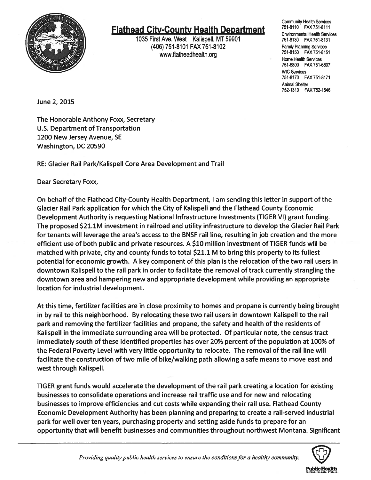

### **Flathead City-County Health Department**

1035 First Ave. West Kalispell, MT 59901 (406) 751-8101 FAX 751-8102 Family Planning Services www.flatheadhealth.org

Community Health Services<br>751-8110 FAX 751-8111 Environmental Health Services Home Health Services 751-6800 FAX 751-6807 WIC Services 751-8170 FAX 751-8171 Animal Shelter 752-1310 FAX 752-1546

June 2, 2015

The Honorable Anthony Foxx, Secretary U.S. Department of Transportation 1200 New Jersey Avenue, SE Washington, DC 20590

RE: Glacier Rail Park/Kalispell Core Area Development and Trail

Dear Secretary Foxx,

On behalf of the Flathead City-County Health Department, lam sending this letter in support of the Glacier Rail Park application for which the City of Kalispell and the Flathead County Economic Development Authority is requesting National Infrastructure Investments (TIGER VI) grant funding. The proposed \$21.1M investment in railroad and utility infrastructure to develop the Glacier Rail Park for tenants will leverage the area's access to the BNSF rail line, resulting in job creation and the more efficient use of both public and private resources. A \$10 million investment of TIGER funds will be matched with private, city and county funds to total \$21.1 M to bring this property to its fullest potential for economic growth. <sup>A</sup> key component of this plan is the relocation of the two rail users in downtown Kalispell to the rail park in order to facilitate the removal of track currently strangling the downtown area and hampering new and appropriate development while providing an appropriate location for industrial development.

At this time, fertilizer facilities are in close proximity to homes and propane is currently being brought in by rail to this neighborhood. By relocating these two rail users in downtown Kalispell to the rail park and removing the fertilizer facilities and propane, the safety and health of the residents of Kalispell in the immediate surrounding area will be protected. Of particular note, the census tract immediately south of these identified properties has over 20% percent of the population at 100% of the Federal Poverty Level with very little opportunity to relocate. The removal of the rail line will facilitate the construction of two mile of bike/walking path allowing a safe means to move east and west through Kalispell.

TIGER grant funds would accelerate the development of the rail park creating a location for existing businesses to consolidate operations and increase rail traffic use and for new and relocating businesses to improve efficiencies and cut costs while expanding their rail use. Flathead County Economic Development Authority has been planning and preparing to create a rail-served industrial park for well over ten years, purchasing property and setting aside funds to prepare for an opportunity that will benefit businesses and communities throughout northwest Montana. Significant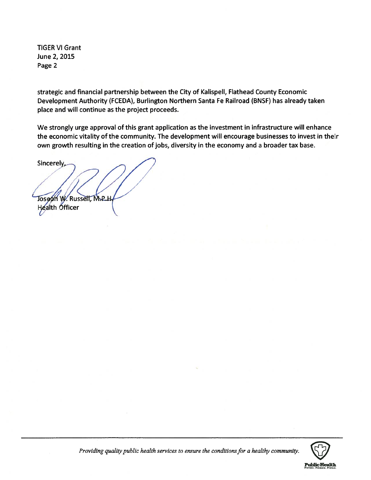TIGER VI Grant June 2, 2015 Page 2

strategic and financial partnership between the City of Kalispell, Flathead County Economic Development Authority (FCEDA), Burlington Northern Santa Fe Railroad (BNSF) has already taken place and will continue as the project proceeds.

We strongly urge approval of this grant application as the investment in infrastructure will enhance the economic vitality of the community. The development will encourage businesses to invest in their own growth resulting in the creation of jobs, diversity in the economy and a broader tax base.

Sincerely, Joseph W. Russell, M.P.H. Health **Officer** 

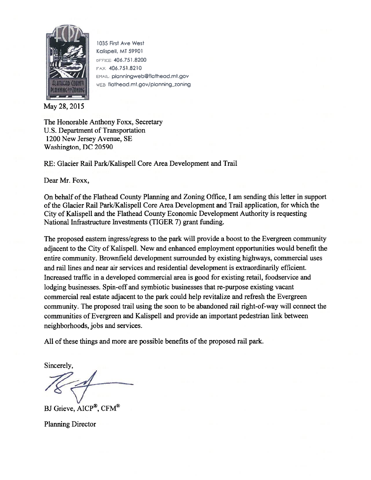

1035 First Ave West Kalispell, MT 59901 oFFICE 406.751.8200 406.751.8210 EMAIL planningweb@flathead.mt.gov wes flathead.mt.gov/planning\_zoning

May28,2015

The Honorable Anthony Foxx, Secretary U.S. Department of Transportation 1200 New Jersey Avenue, SE Washington, DC 20590

RE: Glacier Rail Park/Kalispell Core Area Development and Trail

Dear Mr. Foxx,

On behalf of the Flathead County Planning and Zoning Office, I am sending this letter in support of the Glacier Rail Park/Kalispell Core Area Development and Trail application, for which the City of Kalispell and the Flathead County Economic Development Authority is requesting National Infrastructure Investments (TIGER 7) grant funding.

The proposed eastern ingress/egress to the park will provide a boost to the Evergreen community adjacent to the City of Kalispell. New and enhanced employment opportunities would benefit the entire community. Brownfield development surrounded by existing highways, commercial uses and rail lines and near air services and residential development is extraordinarily efficient. Increased traffic in a developed commercial area is good for existing retail, foodservice and lodging businesses. Spin-off and symbiotic businesses that re-purpose existing vacant commercial real estate adjacent to the park could help revitalize and refresh the Evergreen community. The proposed trail using the soon to be abandoned rail right-of-way will connect the communities of Evergreen and Kalispell and provide an important pedestrian link between neighborhoods, jobs and services.

All of these things and more are possible benefits of the proposed rail park.

Sincerely,

BJ Grieve, AICP®, CFM®

Planning Director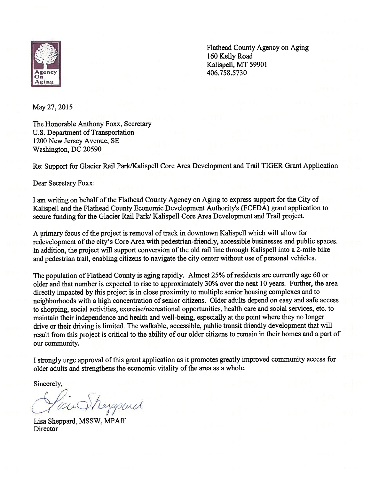

Flathead County Agency on Aging<br>160 Kelly Road<br>Kalispell, MT 59901<br>406.758.5730 160 Kelly Road Kalispell, MT 59901 Agency 406.758.5730

May 27, 2015

The Honorable Anthony Foxx, Secretary U.S. Department of Transportation 1200 New Jersey Avenue, SE Washington, DC 20590

Re: Support for Glacier Rail Park/Kalispell Core Area Development and Trail TIGER Grant Application

Dear Secretary Foxx:

I am writing on behalf of the Flathead County Agency on Aging to express support for the City of Kalispell and the Flathead County Economic Development Authority's (FCEDA) grant application to secure funding for the Glacier Rail Park/ Kalispell Core Area Development and Trail project.

A primary focus of the project is removal of track in downtown Kalispell which will allow for redevelopment of the city's Core Area with pedestrian-friendly, accessible businesses and public spaces. In addition, the project will support conversion of the old rail line through Kalispell into a 2-mile bike and pedestrian trail, enabling citizens to navigate the city center without use of personal vehicles.

The population of Flathead County is aging rapidly. Almost 25% ofresidents are currently age 60 or older and that number is expected to rise to approximately 30% over the next 10 years. Further, the area directly impacted by this project is in close proximity to multiple senior housing complexes and to neighborhoods with a high concentration of senior citizens. Older adults depend on easy and safe access to shopping, social activities, exercise/recreational opportunities, health care and social services, etc. to maintain their independence and health and well-being, especially at the point where they no longer drive or their driving is limited. The walkable, accessible, public transit friendly development that will result from this project is critical to the ability of our older citizens to remain in their homes and a part of our community.

I strongly urge approval of this grant application as it promotes greatly improved community access for older adults and strengthens the economic vitality of the area as a whole.

Courtheyspand

Lisa Sheppard, MSSW, MPAff Director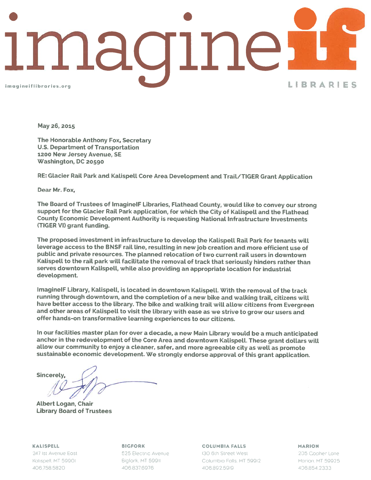

May 26, 2015

The Honorable Anthony Fox, Secretary U.S. Department of Transportation 1200 New Jersey Avenue, SE Washington, DC 20590

RE: Glacier Rail Park and Kalispell Core Area Development and Trail/TIGER Grant Application

Dear Mr. Fox,

The Board of Trustees of ImaginelF Libraries, Ftathead County, wouLd Like to convey our strong support for the Glacier Rail Park application, for which the City of Kalispell and the Flathead County Economic Development Authority is requesting NationaL Infrastructure Investments (TIGER VI) grant funding.

The proposed investment in infrastructure to develop the Kalispell Rail Park for tenants will leverage access to the BNSF rail line, resulting in new job creation and more efficient use of pubLic and private resources. The planned relocation of two current raiL users in downtown Kalispell to the rail park will facilitate the removal of track that seriously hinders rather than serves downtown Kalispell, while also providing an appropriate location for industrial development.

ImaginelF Library, Kalispell, is located in downtown Kalispell. With the removal of the track running through downtown, and the completion of a new bike and walking trail, citizens will have better access to the Library. The bike and walking trail will allow citizens from Evergreen and other areas of Katispelt to visit the library with ease as we strive to grow our users and offer hands-on transformative Learning experiences to our citizens.

In our facilities master plan for over a decade, a new Main Library would be a much anticipated anchor in the redevelopment of the Core Area and downtown Kalispell. These grant dollars will allow our community to enjoy a cleaner, safer, and more agreeable city as well as promote sustainable economic development. We strongly endorse approval of this grant application.

Sincerely,

ALbert Logan, Chair Library Board of Trustees

KALISPELL 247 ist Avenue East Kalispell, MT 59901 406758.5820

BIGFORK 525 Electric Avenue Bigfork, MT 59911 406 837.6976

COLUMBIA FALLS 130 6th Street West Columbia Falls, MT 59912 406.892.59(9

MARION

205 Gopher Lane Marion, MT 59925 406854 2333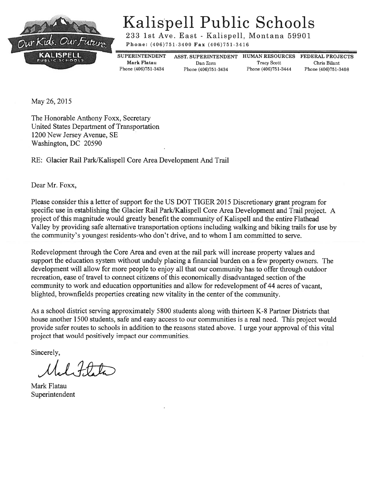

## Kalispell Public Schools

233 1st Ave. East - Kalispell, Montana 59901

Phone: (406)751-3400 Fax (406)751-3416

Phone (406)751-3434 Phone (406)751-3434 Phone (406)751-3444 Phone (406)751-3408

Mark Flatau Dan Zorn Tracy Scott Chris Bilant

SUPERINTENDENT ASST. SUPERINTENDENT HUMAN RESOURCES FEDERAL PROJECTS

May 26, 2015

The Honorable Anthony Foxx, Secretary United States Department of Transportation 1200 New Jersey Avenue, SE Washington, DC 20590

RE: Glacier Rail Park/Kalispell Core Area Development And Trail

Dear Mr. Foxx,

Please consider this a letter of support for the US DOT TIGER 2015 Discretionary grant program for specific use in establishing the Glacier Rail Park/Kalispell Core Area Development and Trail project. A project of this magnitude would greatly benefit the community of Kalispell and the entire Flathead Valley by providing safe alternative transportation options including walking and biking trails for use by the community's youngest residents-who don't drive, and to whom <sup>I</sup> am committed to serve.

Redevelopment through the Core Area and even at the rail park will increase property values and support the education system without unduly placing a financial burden on a few property owners. The development will allow for more people to enjoy all that our community has to offer through outdoor recreation, ease of travel to connect citizens of this economically disadvantaged section of the community to work and education opportunities and allow for redevelopment of 44 acres of vacant, blighted, brownfields properties creating new vitality in the center of the community.

As a school district serving approximately 5800 students along with thirteen K-8 Partner Districts that house another 1500 students, safe and easy access to our communities is a real need. This project would provide safer routes to schools in addition to the reasons stated above. <sup>I</sup> urge your approval of this vital project that would positively impact our communities.

 $1.40L$ 

Mark Flatau Superintendent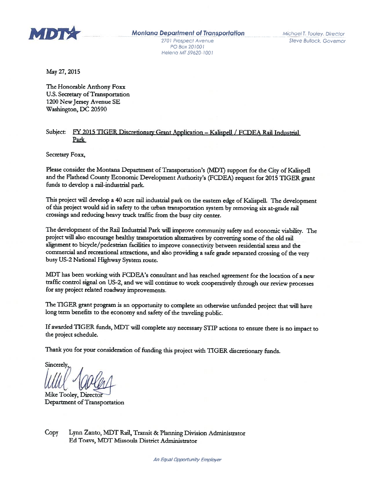

PC Box 201001 Heleno MT 59620 1001

May 27, 2015

The Honorable Anthony Foxx U.S. Secretary of Transportation 1200 New Jersey Avenue SE Washington, DC 20590

#### Subject: FY <sup>2015</sup> TIGER Discretionary Grant Application — Kalispell / FCDEA Rail Industrial Park

Secretary Foxx,

Please consider the Montana Department of Transportation's (MDT) support for the City of Kalispell and the Flathead County Economic Development Authority's (FCDEA) request for 2015 TIGER grant funds to develop a rail-industrial park.

This project will develop a 44) acre rail industrial park on the eastern edge of Kalispell. The development of this project would aid in safety to the urban transportation system by removing six at-grade rail crossings and reducing heavy truck traffic from the busy city center.

The development of the Rail Industrial Park will improve community safety and economic viability. The project will also encourage healthy transportation alternatives by converting some of the old rail alignment to bicycle/pedestrian facilities to improve connectivity between residential areas and the commercial and recreational attractions, and also providing <sup>a</sup> safe grade separated crossing of the very busy US-2 National Highway System route.

MDT has been working with FCDEA's consultant and has reached agreement for the location of <sup>a</sup> new traffic control signal on US-2, and we will continue to work cooperatively through our review proccsses for any project related roadway improvements.

The TIGER grant program is an opportunity to complete an otherwise unfunded project that will have long term benefits to the economy and safety of the traveling public.

If awarded TIGER funds, MDT will complete any necessary STIP actions to ensure there is no impact to the project schedule.

Thank you for your consideration of funding this project with TIGER discretionary funds,

Sincerely

Mike Tooley, Directof Department of Transportation

Copy Lynn Zanto, MDT Rail, Transit & Planning Division Administrator Ed Toavs, MDT Missoula District Administrator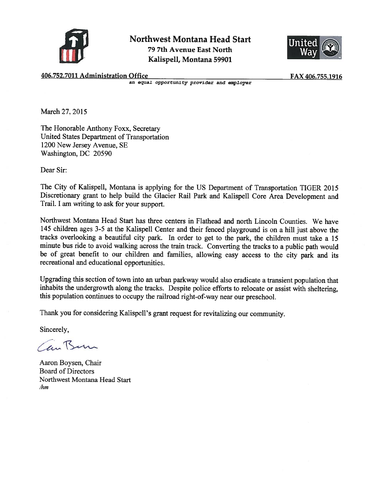

Northwest Montana Head Start 79 7th Avenue East North Kalispell, Montana 59901



406.752.7011 Administration Office

Office FAX 406.755.1916<br>an equal opportunity provider and employer

March 27, 2015

The Honorable Anthony Foxx, Secretary United States Department of Transportation 1200 New Jersey Avenue, SE Washington, DC 20590

Dear Sir:

The City of Kalispell, Montana is applying for the US Department of Transportation TIGER 2015 Discretionary grant to help build the Glacier Rail Park and Kalispell Core Area Development and Trail. I am writing to ask for your support.

Northwest Montana Head Start has three centers in Flathead and north Lincoln Counties. We have 145 children ages 3-5 at the Kalispell Center and their fenced playground is on a hill just above the tracks overlooking a beautiful city park. In order to get to the park, the children must take a <sup>15</sup> minute bus ride to avoid walking across the train track. Converting the tracks to a public path would be of great benefit to our children and families, allowing easy access to the city park and its recreational and educational opportunities.

Upgrading this section of town into an urban parkway would also eradicate a transient population that inhabits the undergrowth along the tracks. Despite police efforts to relocate or assist with sheltering, this population continues to occupy the railroad right-of-way near our preschool.

Thank you for considering Kalispell's grant request for revitalizing our community.

anBun

Aaron Boysen, Chair Board of Directors Northwest Montana Head Start /hm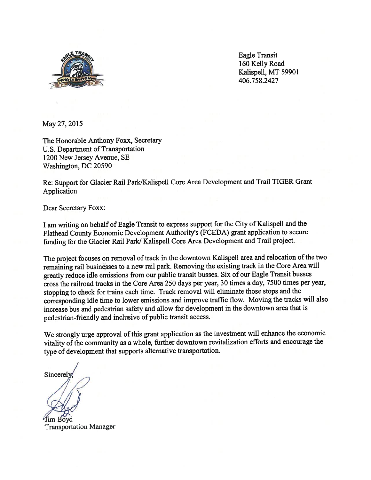

Eagle Transit 160 Kelly Road Kalispell, MT 59901 406.758.2427

May 27, 2015

The Honorable Anthony Foxx, Secretary U.S. Department of Transportation 1200 New Jersey Avenue, SE Washington, DC 20590

Re: Support for Glacier Rail Park/Kalispell Core Area Development and Trail TIGER Grant Application

Dear Secretary Foxx:

I am writing on behalf of Eagle Transit to express suppor<sup>t</sup> for the City of Kalispell and the Flathead County Economic Development Authority's (FCEDA) gran<sup>t</sup> application to secure funding for the Glacier Rail Park/ Kalispell Core Area Development and Trail project.

The project focuses on removal of track in the downtown Kalispell area and relocation of the two remaining rail businesses to <sup>a</sup> new rail park. Removing the existing track in the Core Area will greatly reduce idle emissions from our public transit busses. Six of our Eagle Transit busses cross the railroad tracks in the Core Area 250 days per year, 30 times <sup>a</sup> day, 7500 times per year, stopping to check for trains each time. Track removal will eliminate those stops and the corresponding idle time to lower emissions and improve traffic flow. Moving the tracks will also increase bus and pedestrian safety and allow for development in the downtown area that is pedestrian-friendly and inclusive of public transit access.

We strongly urge approval of this grant application as the investment will enhance the economic vitality of the community as a whole, further downtown revitalization efforts and encourage the type of development that supports alternative transportation.

**Sincerely** 

Transportation Manager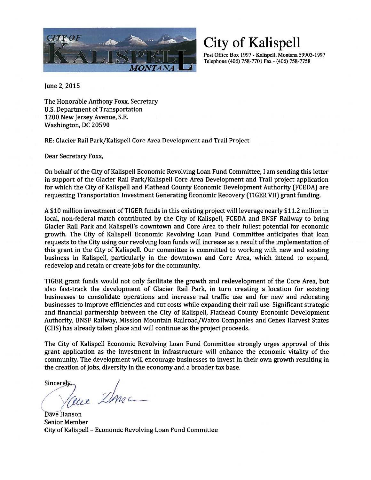

City of Kalispell

Post Office Box 1997 - Kalispell, Montana 59903-1997 Telephone (406) 758-7701 Fax - (406) 758-7758

June 2, 2015

The Honorable Anthony Foxx, Secretary U.S. Department of Transportation 1200 New Jersey Avenue, S.E. Washington, DC 20590

RE: Glacier Rail Park/Kalispell Core Area Development and Trail Project

Dear Secretary Foxx,

On behalf of the City of Kalispell Economic Revolving Loan Fund Committee, <sup>I</sup> am sending this letter in support of the Glacier Rail Park/Kalispell Core Area Development and Trail project application for which the City of Kalispell and Flathead County Economic Development Authority (FCEDA) are requesting Transportation Investment Generating Economic Recovery (TIGER VII) grant funding.

A \$10 million investment of TIGER funds in this existing project will leverage nearly \$11.2 million in local, non-federal match contributed by the City of Kalispell, FCEDA and BNSF Railway to bring Glacier Rail Park and Kalispell's downtown and Core Area to their fullest potential for economic growth. The City of Kalispell Economic Revolving Loan Fund Committee anticipates that loan requests to the City using our revolving loan funds will increase as a result of the implementation of this grant in the City of Kalispell. Our committee is committed to working with new and existing business in Kalispell, particularly in the downtown and Core Area, which intend to expand, redevelop and retain or create jobs for the community.

TIGER grant funds would not only facilitate the growth and redevelopment of the Core Area, but also fast-track the development of Glacier Rail Park, in turn creating a location for existing businesses to consolidate operations and increase rail traffic use and for new and relocating businesses to improve efficiencies and cut costs while expanding their rail use. Significant strategic and financial partnership between the City of Kalispell, Flathead County Economic Development Authority, BNSF Railway, Mission Mountain Railroad/Watco Companies and Cenex Harvest States (CHS) has already taken place and will continue as the project proceeds.

The City of Kalispell Economic Revolving Loan Fund Committee strongly urges approval of this grant application as the investment in infrastructure will enhance the economic vitality of the community. The development will encourage businesses to invest in their own growth resulting in the creation of jobs, diversity in the economy and a broader tax base. The City of<br>grant appl<br>community<br>the creation

Dave Hanson Senior Member City of Kalispell — Economic Revolving Loan Fund Committee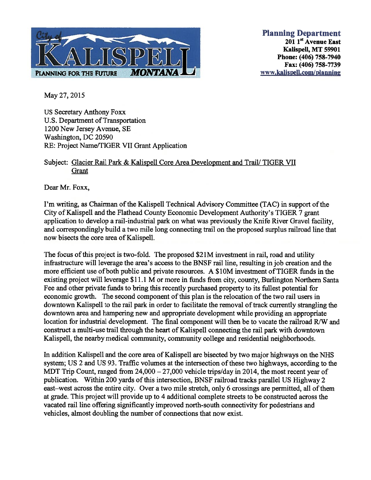

Planning Department  $201$  1<sup>st</sup> Avenue East Kalispell, MT 59901 Phone: (406) 758-7940 Fax: (406) 758-7739 www.kalispell.com/planning

May 27, 2015

US Secretary Anthony Foxx U.S. Department of Transportation 1200 New Jersey Avenue, SE Washington, DC 20590 RE: Project Name/TIGER VII Grant Application

### Subject: Glacier Rail Park & Kalispell Core Area Development and Trail/ TIGER VII Grant

Dear Mr. Foxx,

I'm writing, as Chairman of the Kalispell Technical Advisory Committee (TAC) in support of the City of Kalispell and the Flathead County Economic Development Authority's TIGER 7 grant application to develop a rail-industrial park on what was previously the Knife River Gravel facility, and correspondingly build a two mile long connecting trail on the proposed surplus railroad line that now bisects the core area of Kalispell.

The focus of this project is two-fold. The proposed \$21M investment in rail, road and utility infrastructure will leverage the area's access to the BNSF rail line, resulting in job creation and the more efficient use of both public and private resources. A \$10M investment of TIGER funds in the existing project will leverage \$11.1 M or more in funds from city, county, Burlington Northern Santa Fee and other private funds to bring this recently purchased property to its fullest potential for economic growth. The second component of this plan is the relocation of the two rail users in downtown Kalispell to the rail park in order to facilitate the removal of track currently strangling the downtown area and hampering new and appropriate development while providing an appropriate location for industrial development. The final component will then be to vacate the railroad R/W and construct a multi-use trail through the heart of Kalispell connecting the rail park with downtown Kalispell, the nearby medical community, community college and residential neighborhoods.

In addition Kalispell and the core area of Kalispell are bisected by two major highways on the NHS system; US 2 and US 93. Traffic volumes at the intersection of these two highways, according to the MDT Trip Count, ranged from 24,000 – 27,000 vehicle trips/day in 2014, the most recent year of publication. Within 200 yards of this intersection, BNSF railroad tracks parallel US Highway 2 east—west across the entire city. Over a two mile stretch, only 6 crossings are permitted, all of them at grade. This project will provide up to 4 additional complete streets to be constructed across the vacated rail line offering significantly improved north-south connectivity for pedestrians and vehicles, almost doubling the number of connections that now exist.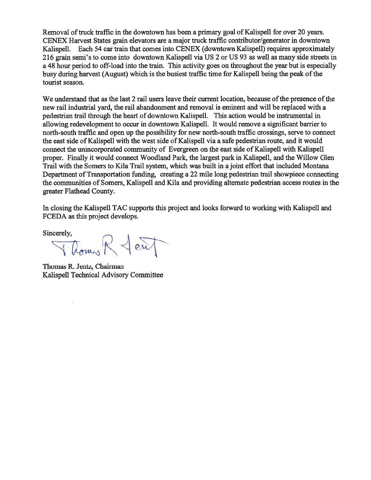Removal of truck traffic in the downtown has been a primary goal of Kalispell for over 20 years. CENEX Harvest States grain elevators are a major truck traffic contributor/generator in downtown Kalispell. Each 54 car train that comes into CENEX (downtown Kalispell) requires approximately 216 grain semi's to come into downtown Kalispell via US 2 or US 93 as well as many side streets in a 48 hour period to off-load into the train. This activity goes on throughout the year but is especially busy during harvest (August) which is the busiest traffic time for Kalispell being the peak of the tourist season.

We understand that as the last 2 rail users leave their current location, because of the presence of the new rail industrial yard, the rail abandonment and removal is eminent and will be replaced with a pedestrian trail through the heart of downtown Kalispell. This action would be instrumental in allowing redevelopment to occur in downtown Kalispell. It would remove a significant barrier to north-south traffic and open up the possibility for new north-south traffic crossings, serve to connect the east side of Kalispell with the west side of Kalispell via a safe pedestrian route, and it would connect the unincorporated community of Evergreen on the east side of Kalispell with Kalispell proper. Finally it would connect Woodland Park, the largest park in Kalispell, and the Willow Glen Trail with the Somers to Kila Trail system, which was built in a joint effort that included Montana Department of Transportation funding, creating a 22 mile long pedestrian trail showpiece connecting the communities of Somers, Kalispell and Kila and providing alternate pedestrian access routes in the greater Flathead County.

In closing the Kalispell TAC supports this project and looks forward to working with Kalispell and FCEDA as this project develops.

Sincerely,  $\bigcap_{\mathcal{A}} \bigcap_{\mathcal{A}} \bigcap_{\mathcal{A}}$ 

Thomas R. Jentz, Chairman Kalispell Technical Advisory Committee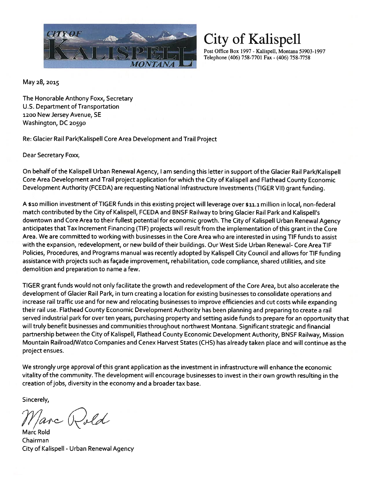

City of Kalispell

Post Office Box 1997 - Kalispell, Montana 59903-1997 Telephone (406) 758-7701 Fax - (406) 758-7758

May 28, 2015

The Honorable Anthony Foxx, Secretary U.S. Department of Transportation 1200 New Jersey Avenue, SE Washington, DC 20590

Re: Glacier Rail Park/Kalispell Core Area Development and Trail Project

Dear Secretary Foxx,

On behalf of the Kalispell Urban Renewal Agency, <sup>I</sup> am sending this letter in support of the Glacier Rail Park/Kalispell Core Area Development and Trail project application for which the City of Kalispell and Flathead County Economic Development Authority (FCEDA) are requesting National Infrastructure Investments (TIGER VII) grant funding.

A \$10 million investment of TIGER funds in this existing project will leverage over \$11.1 million in local, non-federal match contributed bythe City of Kalispell, FCEDA and BNSF Railwayto bring Glacier Rail Park and Kalispell's downtown and Core Area to their fullest potential for economic growth. The City of Kalispell Urban Renewal Agency anticipates that Tax Increment Financing (TIE) projects will result from the implementation of this grant in the Core Area. We are committed to working with businesses in the Core Area who are interested in using TIE funds to assist with the expansion, redevelopment, or new build of their buildings. Our West Side Urban Renewal- Core Area TIE Policies, Procedures, and Programs manual was recently adopted by Kalispell City Council and allows for TIE funding assistance with projects such as façade improvement, rehabilitation, code compliance, shared utilities, and site demolition and preparation to name a few.

TIGER grant funds would not only facilitate the growth and redevelopment of the Core Area, but also accelerate the development of Glacier Rail Park, in turn creating a location for existing businesses to consolidate operations and increase rail traffic use and for new and relocating businesses to improve efficiencies and cut costs while expanding their rail use. Flathead County Economic Development Authority has been planning and preparing to create a rail served industrial park for over ten years, purchasing property and setting aside funds to prepare for an opportunity that will truly benefit businesses and communities throughout northwest Montana. Significant strategic and financial partnership between the City of Kalispell, Flathead County Economic Development Authority, BNSE Railway, Mission Mountain Railroad/Watco Companies and Cenex Harvest States (CHS) has alreadytaken place and will continue as the project ensues.

We strongly urge approval of this grant application as the investment in infrastructure will enhance the economic vitality of the community. The development will encourage businesses to invest in their own growth resulting in the creation of jobs, diversity in the economy and a broader tax base.

arc Rold

Marc Rold Chairman City of Kalispell - Urban Renewal Agency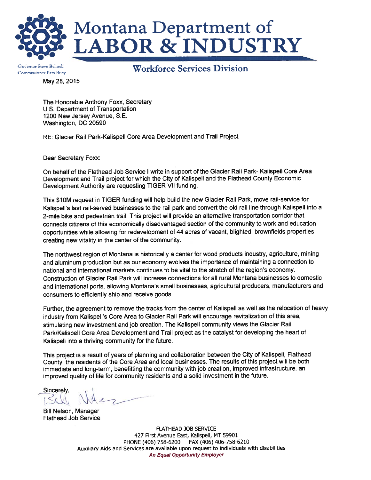

# Montana Department of **ABOR & INDUSTRY**

May 28, 2015 Governor Steve Bullock Commissioner Pam Bucy

Workforce Services Division

The Honorable Anthony Foxx, Secretary U.S. Department of Transportation 1200 New Jersey Avenue, S.E. Washington, DC 20590

RE: Glacier Rail Park-Kalispell Core Area Development and Trail Project

Dear Secretary Foxx:

On behalf of the Flathead Job Service <sup>I</sup> write in support of the Glacier Rail Park- Kalispell Core Area Development and Trail project for which the City of Kalispell and the Flathead County Economic Development Authority are requesting TIGER VII funding.

This \$1OM request in TIGER funding will help build the new Glacier Rail Park, move rail-service for Kalispell's last rail-served businesses to the rail park and convert the old rail line through Kalispell into a 2-mile bike and pedestrian trail. This project will provide an alternative transportation corridor that connects citizens of this economically disadvantaged section of the community to work and education opportunities while allowing for redevelopment of 44 acres of vacant, blighted, brownfields properties creating new vitality in the center of the community.

The northwest region of Montana is historically a center for wood products industry, agriculture, mining and aluminum production but as our economy evolves the importance of maintaining a connection to national and international markets continues to be vital to the stretch of the region's economy. Construction of Glacier Rail Park will increase connections for all rural Montana businesses to domestic and international ports, allowing Montana's small businesses, agricultural producers, manufacturers and consumers to efficiently ship and receive goods.

Further, the agreement to remove the tracks from the center of Kalispell as well as the relocation of heavy industry from Kalispell's Core Area to Glacier Rail Park will encourage revitalization of this area, stimulating new investment and job creation. The Kalispell community views the Glacier Rail ParklKalispell Core Area Development and Trail project as the catalyst for developing the heart of Kalispell into a thriving community for the future.

This project is a result of years of planning and collaboration between the City of Kalispell, Flathead County, the residents of the Core Area and local businesses. The results of this project will be both immediate and long-term, benefitting the community with job creation, improved infrastructure, an improved quality of life for community residents and a solid investment in the future.

Sincerely,

Bill Nelson, Manager Flathead Job Service

FLATHEAD JOB SERVICE 427 First Avenue East, Kalispell, MT 59901 PHONE (406) 758-6200 FAX (406) 406-758-6210 Auxiliary Aids and Services are available upon request to individuals with disabilities An Equal Opportunity Employer